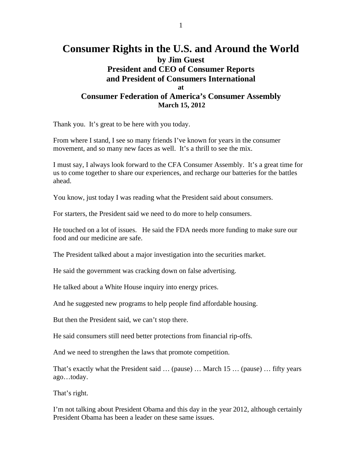## **Consumer Rights in the U.S. and Around the World by Jim Guest President and CEO of Consumer Reports and President of Consumers International at Consumer Federation of America's Consumer Assembly March 15, 2012**

Thank you. It's great to be here with you today.

From where I stand, I see so many friends I've known for years in the consumer movement, and so many new faces as well. It's a thrill to see the mix.

I must say, I always look forward to the CFA Consumer Assembly. It's a great time for us to come together to share our experiences, and recharge our batteries for the battles ahead.

You know, just today I was reading what the President said about consumers.

For starters, the President said we need to do more to help consumers.

He touched on a lot of issues. He said the FDA needs more funding to make sure our food and our medicine are safe.

The President talked about a major investigation into the securities market.

He said the government was cracking down on false advertising.

He talked about a White House inquiry into energy prices.

And he suggested new programs to help people find affordable housing.

But then the President said, we can't stop there.

He said consumers still need better protections from financial rip-offs.

And we need to strengthen the laws that promote competition.

That's exactly what the President said … (pause) … March 15 … (pause) … fifty years ago…today.

That's right.

I'm not talking about President Obama and this day in the year 2012, although certainly President Obama has been a leader on these same issues.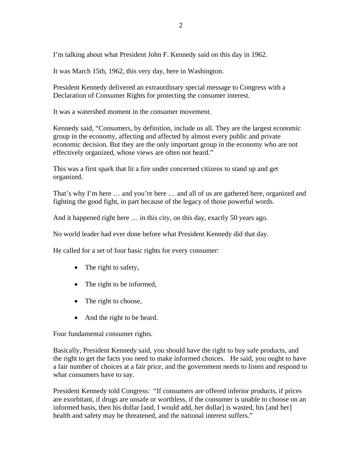I'm talking about what President John F. Kennedy said on this day in 1962.

It was March 15th, 1962, this very day, here in Washington.

President Kennedy delivered an extraordinary special message to Congress with a Declaration of Consumer Rights for protecting the consumer interest.

It was a watershed moment in the consumer movement.

Kennedy said, "Consumers, by definition, include us all. They are the largest economic group in the economy, affecting and affected by almost every public and private economic decision. But they are the only important group in the economy who are not effectively organized, whose views are often not heard."

This was a first spark that lit a fire under concerned citizens to stand up and get organized.

That's why I'm here … and you're here … and all of us are gathered here, organized and fighting the good fight, in part because of the legacy of those powerful words.

And it happened right here … in this city, on this day, exactly 50 years ago.

No world leader had ever done before what President Kennedy did that day.

He called for a set of four basic rights for every consumer:

- The right to safety,
- The right to be informed,
- The right to choose,
- And the right to be heard.

Four fundamental consumer rights.

Basically, President Kennedy said, you should have the right to buy safe products, and the right to get the facts you need to make informed choices. He said, you ought to have a fair number of choices at a fair price, and the government needs to listen and respond to what consumers have to say.

President Kennedy told Congress: "If consumers are offered inferior products, if prices are exorbitant, if drugs are unsafe or worthless, if the consumer is unable to choose on an informed basis, then his dollar [and, I would add, her dollar] is wasted, his [and her] health and safety may be threatened, and the national interest suffers."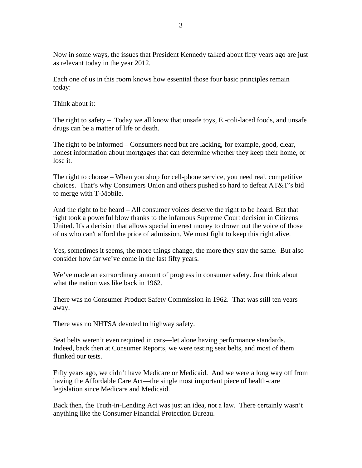Now in some ways, the issues that President Kennedy talked about fifty years ago are just as relevant today in the year 2012.

Each one of us in this room knows how essential those four basic principles remain today:

Think about it:

The right to safety – Today we all know that unsafe toys, E.-coli-laced foods, and unsafe drugs can be a matter of life or death.

The right to be informed – Consumers need but are lacking, for example, good, clear, honest information about mortgages that can determine whether they keep their home, or lose it.

The right to choose – When you shop for cell-phone service, you need real, competitive choices. That's why Consumers Union and others pushed so hard to defeat AT&T's bid to merge with T-Mobile.

And the right to be heard – All consumer voices deserve the right to be heard. But that right took a powerful blow thanks to the infamous Supreme Court decision in Citizens United. It's a decision that allows special interest money to drown out the voice of those of us who can't afford the price of admission. We must fight to keep this right alive.

Yes, sometimes it seems, the more things change, the more they stay the same. But also consider how far we've come in the last fifty years.

We've made an extraordinary amount of progress in consumer safety. Just think about what the nation was like back in 1962.

There was no Consumer Product Safety Commission in 1962. That was still ten years away.

There was no NHTSA devoted to highway safety.

Seat belts weren't even required in cars—let alone having performance standards. Indeed, back then at Consumer Reports, we were testing seat belts, and most of them flunked our tests.

Fifty years ago, we didn't have Medicare or Medicaid. And we were a long way off from having the Affordable Care Act—the single most important piece of health-care legislation since Medicare and Medicaid.

Back then, the Truth-in-Lending Act was just an idea, not a law. There certainly wasn't anything like the Consumer Financial Protection Bureau.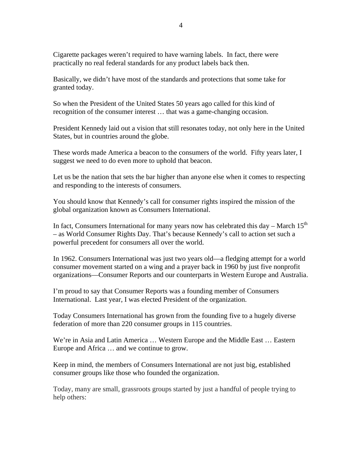Cigarette packages weren't required to have warning labels. In fact, there were practically no real federal standards for any product labels back then.

Basically, we didn't have most of the standards and protections that some take for granted today.

So when the President of the United States 50 years ago called for this kind of recognition of the consumer interest … that was a game-changing occasion.

President Kennedy laid out a vision that still resonates today, not only here in the United States, but in countries around the globe.

These words made America a beacon to the consumers of the world. Fifty years later, I suggest we need to do even more to uphold that beacon.

Let us be the nation that sets the bar higher than anyone else when it comes to respecting and responding to the interests of consumers.

You should know that Kennedy's call for consumer rights inspired the mission of the global organization known as Consumers International.

In fact, Consumers International for many years now has celebrated this day – March  $15<sup>th</sup>$ – as World Consumer Rights Day. That's because Kennedy's call to action set such a powerful precedent for consumers all over the world.

In 1962. Consumers International was just two years old—a fledging attempt for a world consumer movement started on a wing and a prayer back in 1960 by just five nonprofit organizations—Consumer Reports and our counterparts in Western Europe and Australia.

I'm proud to say that Consumer Reports was a founding member of Consumers International. Last year, I was elected President of the organization.

Today Consumers International has grown from the founding five to a hugely diverse federation of more than 220 consumer groups in 115 countries.

We're in Asia and Latin America … Western Europe and the Middle East … Eastern Europe and Africa … and we continue to grow.

Keep in mind, the members of Consumers International are not just big, established consumer groups like those who founded the organization.

Today, many are small, grassroots groups started by just a handful of people trying to help others: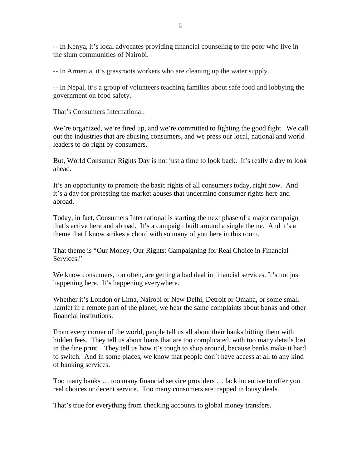-- In Kenya, it's local advocates providing financial counseling to the poor who live in the slum communities of Nairobi.

-- In Armenia, it's grassroots workers who are cleaning up the water supply.

-- In Nepal, it's a group of volunteers teaching families about safe food and lobbying the government on food safety.

That's Consumers International.

We're organized, we're fired up, and we're committed to fighting the good fight. We call out the industries that are abusing consumers, and we press our local, national and world leaders to do right by consumers.

But, World Consumer Rights Day is not just a time to look back. It's really a day to look ahead.

It's an opportunity to promote the basic rights of all consumers today, right now. And it's a day for protesting the market abuses that undermine consumer rights here and abroad.

Today, in fact, Consumers International is starting the next phase of a major campaign that's active here and abroad. It's a campaign built around a single theme. And it's a theme that I know strikes a chord with so many of you here in this room.

That theme is "Our Money, Our Rights: Campaigning for Real Choice in Financial Services."

We know consumers, too often, are getting a bad deal in financial services. It's not just happening here. It's happening everywhere.

Whether it's London or Lima, Nairobi or New Delhi, Detroit or Omaha, or some small hamlet in a remote part of the planet, we hear the same complaints about banks and other financial institutions.

From every corner of the world, people tell us all about their banks hitting them with hidden fees. They tell us about loans that are too complicated, with too many details lost in the fine print. They tell us how it's tough to shop around, because banks make it hard to switch. And in some places, we know that people don't have access at all to any kind of banking services.

Too many banks … too many financial service providers … lack incentive to offer you real choices or decent service. Too many consumers are trapped in lousy deals.

That's true for everything from checking accounts to global money transfers.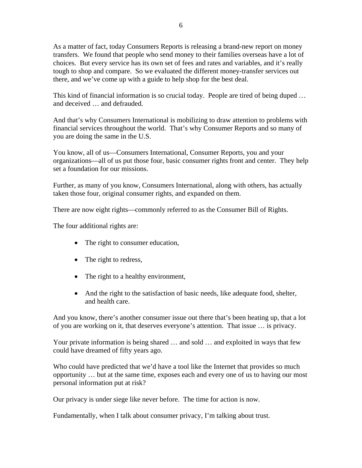As a matter of fact, today Consumers Reports is releasing a brand-new report on money transfers. We found that people who send money to their families overseas have a lot of choices. But every service has its own set of fees and rates and variables, and it's really tough to shop and compare. So we evaluated the different money-transfer services out there, and we've come up with a guide to help shop for the best deal.

This kind of financial information is so crucial today. People are tired of being duped … and deceived … and defrauded.

And that's why Consumers International is mobilizing to draw attention to problems with financial services throughout the world. That's why Consumer Reports and so many of you are doing the same in the U.S.

You know, all of us—Consumers International, Consumer Reports, you and your organizations—all of us put those four, basic consumer rights front and center. They help set a foundation for our missions.

Further, as many of you know, Consumers International, along with others, has actually taken those four, original consumer rights, and expanded on them.

There are now eight rights—commonly referred to as the Consumer Bill of Rights.

The four additional rights are:

- The right to consumer education,
- The right to redress,
- The right to a healthy environment,
- And the right to the satisfaction of basic needs, like adequate food, shelter, and health care.

And you know, there's another consumer issue out there that's been heating up, that a lot of you are working on it, that deserves everyone's attention. That issue … is privacy.

Your private information is being shared … and sold … and exploited in ways that few could have dreamed of fifty years ago.

Who could have predicted that we'd have a tool like the Internet that provides so much opportunity … but at the same time, exposes each and every one of us to having our most personal information put at risk?

Our privacy is under siege like never before. The time for action is now.

Fundamentally, when I talk about consumer privacy, I'm talking about trust.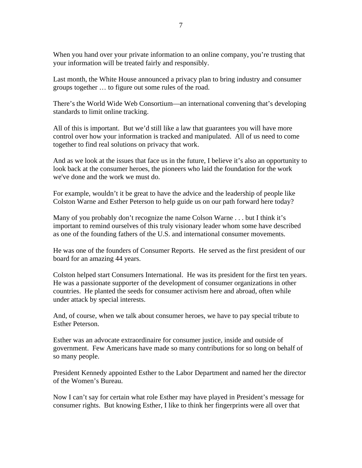When you hand over your private information to an online company, you're trusting that your information will be treated fairly and responsibly.

Last month, the White House announced a privacy plan to bring industry and consumer groups together … to figure out some rules of the road.

There's the World Wide Web Consortium—an international convening that's developing standards to limit online tracking.

All of this is important. But we'd still like a law that guarantees you will have more control over how your information is tracked and manipulated. All of us need to come together to find real solutions on privacy that work.

And as we look at the issues that face us in the future, I believe it's also an opportunity to look back at the consumer heroes, the pioneers who laid the foundation for the work we've done and the work we must do.

For example, wouldn't it be great to have the advice and the leadership of people like Colston Warne and Esther Peterson to help guide us on our path forward here today?

Many of you probably don't recognize the name Colson Warne . . . but I think it's important to remind ourselves of this truly visionary leader whom some have described as one of the founding fathers of the U.S. and international consumer movements.

He was one of the founders of Consumer Reports. He served as the first president of our board for an amazing 44 years.

Colston helped start Consumers International. He was its president for the first ten years. He was a passionate supporter of the development of consumer organizations in other countries. He planted the seeds for consumer activism here and abroad, often while under attack by special interests.

And, of course, when we talk about consumer heroes, we have to pay special tribute to Esther Peterson.

Esther was an advocate extraordinaire for consumer justice, inside and outside of government. Few Americans have made so many contributions for so long on behalf of so many people.

President Kennedy appointed Esther to the Labor Department and named her the director of the Women's Bureau.

Now I can't say for certain what role Esther may have played in President's message for consumer rights. But knowing Esther, I like to think her fingerprints were all over that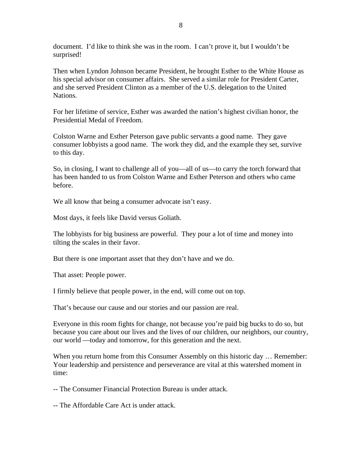document. I'd like to think she was in the room. I can't prove it, but I wouldn't be surprised!

Then when Lyndon Johnson became President, he brought Esther to the White House as his special advisor on consumer affairs. She served a similar role for President Carter, and she served President Clinton as a member of the U.S. delegation to the United Nations.

For her lifetime of service, Esther was awarded the nation's highest civilian honor, the Presidential Medal of Freedom.

Colston Warne and Esther Peterson gave public servants a good name. They gave consumer lobbyists a good name. The work they did, and the example they set, survive to this day.

So, in closing, I want to challenge all of you—all of us—to carry the torch forward that has been handed to us from Colston Warne and Esther Peterson and others who came before.

We all know that being a consumer advocate isn't easy.

Most days, it feels like David versus Goliath.

The lobbyists for big business are powerful. They pour a lot of time and money into tilting the scales in their favor.

But there is one important asset that they don't have and we do.

That asset: People power.

I firmly believe that people power, in the end, will come out on top.

That's because our cause and our stories and our passion are real.

Everyone in this room fights for change, not because you're paid big bucks to do so, but because you care about our lives and the lives of our children, our neighbors, our country, our world —today and tomorrow, for this generation and the next.

When you return home from this Consumer Assembly on this historic day ... Remember: Your leadership and persistence and perseverance are vital at this watershed moment in time:

-- The Consumer Financial Protection Bureau is under attack.

-- The Affordable Care Act is under attack.